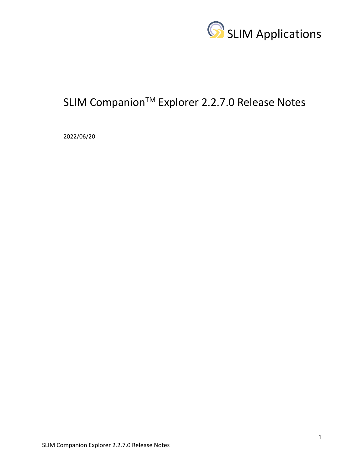

# SLIM Companion<sup>™</sup> Explorer 2.2.7.0 Release Notes

2022/06/20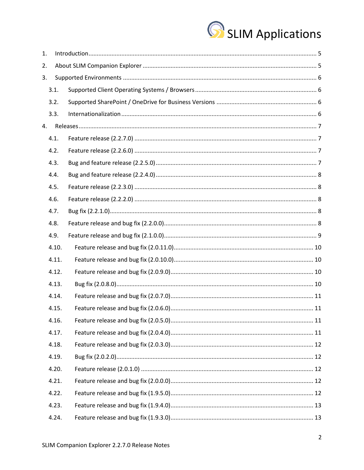

| 1. |       |  |
|----|-------|--|
| 2. |       |  |
| 3. |       |  |
|    | 3.1.  |  |
|    | 3.2.  |  |
|    | 3.3.  |  |
| 4. |       |  |
|    | 4.1.  |  |
|    | 4.2.  |  |
|    | 4.3.  |  |
|    | 4.4.  |  |
|    | 4.5.  |  |
|    | 4.6.  |  |
|    | 4.7.  |  |
|    | 4.8.  |  |
|    | 4.9.  |  |
|    | 4.10. |  |
|    | 4.11. |  |
|    | 4.12. |  |
|    | 4.13. |  |
|    | 4.14. |  |
|    | 4.15. |  |
|    | 4.16. |  |
|    | 4.17. |  |
|    | 4.18. |  |
|    | 4.19. |  |
|    | 4.20. |  |
|    | 4.21. |  |
|    | 4.22. |  |
|    | 4.23. |  |
|    | 4.24. |  |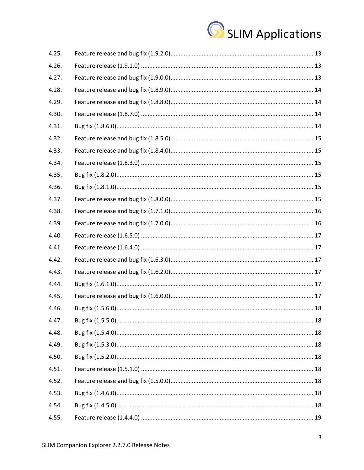

| 4.25. |  |
|-------|--|
| 4.26. |  |
| 4.27. |  |
| 4.28. |  |
| 4.29. |  |
| 4.30. |  |
| 4.31. |  |
| 4.32. |  |
| 4.33. |  |
| 4.34. |  |
| 4.35. |  |
| 4.36. |  |
| 4.37. |  |
| 4.38. |  |
| 4.39. |  |
| 4.40. |  |
| 4.41. |  |
| 4.42. |  |
| 4.43. |  |
| 4.44. |  |
| 4.45. |  |
| 4.46. |  |
| 4.47. |  |
| 4.48. |  |
| 4.49. |  |
| 4.50. |  |
| 4.51. |  |
| 4.52. |  |
| 4.53. |  |
| 4.54. |  |
| 4.55. |  |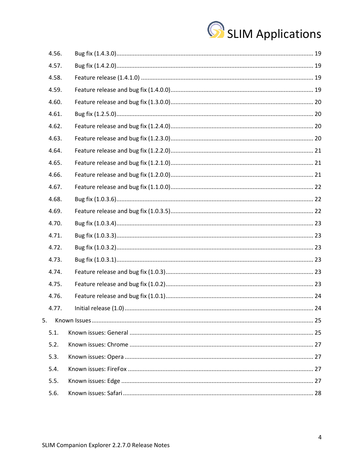

|    | 4.56. |  |
|----|-------|--|
|    | 4.57. |  |
|    | 4.58. |  |
|    | 4.59. |  |
|    | 4.60. |  |
|    | 4.61. |  |
|    | 4.62. |  |
|    | 4.63. |  |
|    | 4.64. |  |
|    | 4.65. |  |
|    | 4.66. |  |
|    | 4.67. |  |
|    | 4.68. |  |
|    | 4.69. |  |
|    | 4.70. |  |
|    | 4.71. |  |
|    | 4.72. |  |
|    | 4.73. |  |
|    | 4.74. |  |
|    | 4.75. |  |
|    | 4.76. |  |
|    | 4.77. |  |
| 5. |       |  |
|    | 5.1.  |  |
|    | 5.2.  |  |
|    | 5.3.  |  |
|    | 5.4.  |  |
|    | 5.5.  |  |
|    | 5.6.  |  |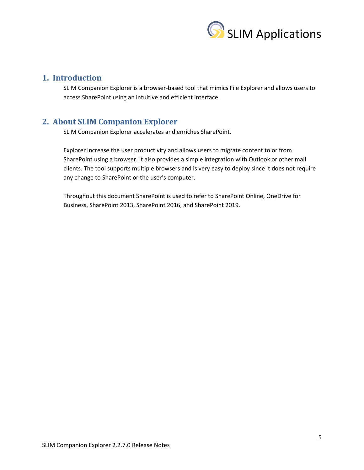

# <span id="page-4-0"></span>**1. Introduction**

SLIM Companion Explorer is a browser-based tool that mimics File Explorer and allows users to access SharePoint using an intuitive and efficient interface.

# <span id="page-4-1"></span>**2. About SLIM Companion Explorer**

SLIM Companion Explorer accelerates and enriches SharePoint.

Explorer increase the user productivity and allows users to migrate content to or from SharePoint using a browser. It also provides a simple integration with Outlook or other mail clients. The tool supports multiple browsers and is very easy to deploy since it does not require any change to SharePoint or the user's computer.

Throughout this document SharePoint is used to refer to SharePoint Online, OneDrive for Business, SharePoint 2013, SharePoint 2016, and SharePoint 2019.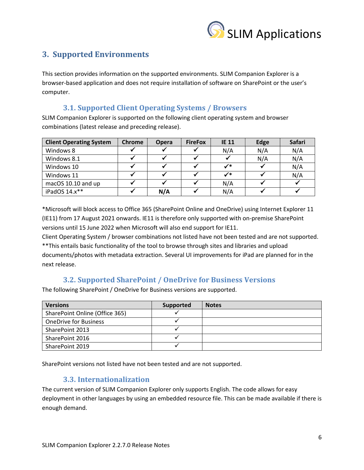

# <span id="page-5-0"></span>**3. Supported Environments**

This section provides information on the supported environments. SLIM Companion Explorer is a browser-based application and does not require installation of software on SharePoint or the user's computer.

# <span id="page-5-1"></span>**3.1. Supported Client Operating Systems / Browsers**

SLIM Companion Explorer is supported on the following client operating system and browser combinations (latest release and preceding release).

| <b>Client Operating System</b> | <b>Chrome</b> | <b>Opera</b> | <b>FireFox</b> | <b>IE 11</b> | Edge | Safari |
|--------------------------------|---------------|--------------|----------------|--------------|------|--------|
| Windows 8                      |               |              |                | N/A          | N/A  | N/A    |
| Windows 8.1                    |               |              |                |              | N/A  | N/A    |
| Windows 10                     |               |              |                | $\checkmark$ |      | N/A    |
| Windows 11                     |               |              |                | $\checkmark$ |      | N/A    |
| macOS 10.10 and up             |               |              |                | N/A          |      |        |
| iPadOS $14.x**$                |               | N/A          |                | N/A          |      |        |

\*Microsoft will block access to Office 365 (SharePoint Online and OneDrive) using Internet Explorer 11 (IE11) from 17 August 2021 onwards. IE11 is therefore only supported with on-premise SharePoint versions until 15 June 2022 when Microsoft will also end support for IE11.

Client Operating System / browser combinations not listed have not been tested and are not supported. \*\*This entails basic functionality of the tool to browse through sites and libraries and upload documents/photos with metadata extraction. Several UI improvements for iPad are planned for in the next release.

# <span id="page-5-2"></span>**3.2. Supported SharePoint / OneDrive for Business Versions**

The following SharePoint / OneDrive for Business versions are supported.

| <b>Versions</b>                | Supported | <b>Notes</b> |
|--------------------------------|-----------|--------------|
| SharePoint Online (Office 365) |           |              |
| <b>OneDrive for Business</b>   |           |              |
| SharePoint 2013                |           |              |
| SharePoint 2016                |           |              |
| SharePoint 2019                |           |              |

SharePoint versions not listed have not been tested and are not supported.

# <span id="page-5-3"></span>**3.3. Internationalization**

The current version of SLIM Companion Explorer only supports English. The code allows for easy deployment in other languages by using an embedded resource file. This can be made available if there is enough demand.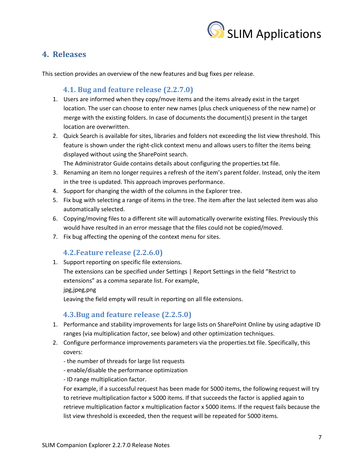

# <span id="page-6-0"></span>**4. Releases**

This section provides an overview of the new features and bug fixes per release.

# <span id="page-6-1"></span>**4.1. Bug and feature release (2.2.7.0)**

- 1. Users are informed when they copy/move items and the items already exist in the target location. The user can choose to enter new names (plus check uniqueness of the new name) or merge with the existing folders. In case of documents the document(s) present in the target location are overwritten.
- 2. Quick Search is available for sites, libraries and folders not exceeding the list view threshold. This feature is shown under the right-click context menu and allows users to filter the items being displayed without using the SharePoint search.

The Administrator Guide contains details about configuring the properties.txt file.

- 3. Renaming an item no longer requires a refresh of the item's parent folder. Instead, only the item in the tree is updated. This approach improves performance.
- 4. Support for changing the width of the columns in the Explorer tree.
- 5. Fix bug with selecting a range of items in the tree. The item after the last selected item was also automatically selected.
- 6. Copying/moving files to a different site will automatically overwrite existing files. Previously this would have resulted in an error message that the files could not be copied/moved.
- 7. Fix bug affecting the opening of the context menu for sites.

# **4.2.Feature release (2.2.6.0)**

<span id="page-6-2"></span>1. Support reporting on specific file extensions.

The extensions can be specified under Settings | Report Settings in the field "Restrict to extensions" as a comma separate list. For example,

jpg,jpeg,png

Leaving the field empty will result in reporting on all file extensions.

# **4.3.Bug and feature release (2.2.5.0)**

- <span id="page-6-3"></span>1. Performance and stability improvements for large lists on SharePoint Online by using adaptive ID ranges (via multiplication factor, see below) and other optimization techniques.
- 2. Configure performance improvements parameters via the properties.txt file. Specifically, this covers:
	- the number of threads for large list requests
	- enable/disable the performance optimization
	- ID range multiplication factor.

For example, if a successful request has been made for 5000 items, the following request will try to retrieve multiplication factor x 5000 items. If that succeeds the factor is applied again to retrieve multiplication factor x multiplication factor x 5000 items. If the request fails because the list view threshold is exceeded, then the request will be repeated for 5000 items.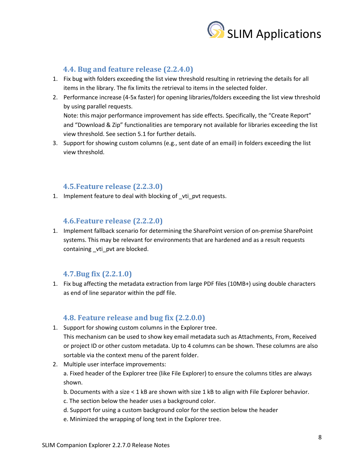

# <span id="page-7-0"></span>**4.4. Bug and feature release (2.2.4.0)**

- 1. Fix bug with folders exceeding the list view threshold resulting in retrieving the details for all items in the library. The fix limits the retrieval to items in the selected folder.
- 2. Performance increase (4-5x faster) for opening libraries/folders exceeding the list view threshold by using parallel requests. Note: this major performance improvement has side effects. Specifically, the "Create Report"

and "Download & Zip" functionalities are temporary not available for libraries exceeding the list view threshold. See section 5.1 for further details.

3. Support for showing custom columns (e.g., sent date of an email) in folders exceeding the list view threshold.

#### **4.5.Feature release (2.2.3.0)**

<span id="page-7-1"></span>1. Implement feature to deal with blocking of vti pvt requests.

#### **4.6.Feature release (2.2.2.0)**

<span id="page-7-2"></span>1. Implement fallback scenario for determining the SharePoint version of on-premise SharePoint systems. This may be relevant for environments that are hardened and as a result requests containing \_vti\_pvt are blocked.

#### **4.7.Bug fix (2.2.1.0)**

<span id="page-7-3"></span>1. Fix bug affecting the metadata extraction from large PDF files (10MB+) using double characters as end of line separator within the pdf file.

#### <span id="page-7-4"></span>**4.8. Feature release and bug fix (2.2.0.0)**

- 1. Support for showing custom columns in the Explorer tree. This mechanism can be used to show key email metadata such as Attachments, From, Received or project ID or other custom metadata. Up to 4 columns can be shown. These columns are also sortable via the context menu of the parent folder.
- 2. Multiple user interface improvements:

a. Fixed header of the Explorer tree (like File Explorer) to ensure the columns titles are always shown.

- b. Documents with a size < 1 kB are shown with size 1 kB to align with File Explorer behavior.
- c. The section below the header uses a background color.
- d. Support for using a custom background color for the section below the header
- e. Minimized the wrapping of long text in the Explorer tree.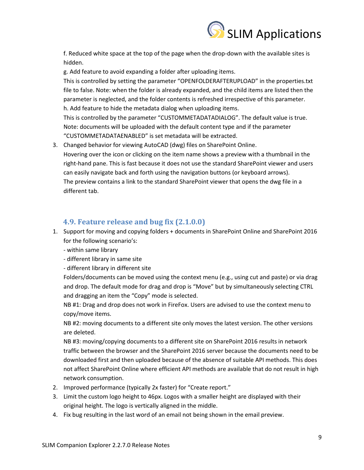

f. Reduced white space at the top of the page when the drop-down with the available sites is hidden.

g. Add feature to avoid expanding a folder after uploading items.

This is controlled by setting the parameter "OPENFOLDERAFTERUPLOAD" in the properties.txt file to false. Note: when the folder is already expanded, and the child items are listed then the parameter is neglected, and the folder contents is refreshed irrespective of this parameter. h. Add feature to hide the metadata dialog when uploading items. This is controlled by the parameter "CUSTOMMETADATADIALOG". The default value is true.

Note: documents will be uploaded with the default content type and if the parameter "CUSTOMMETADATAENABLED" is set metadata will be extracted.

3. Changed behavior for viewing AutoCAD (dwg) files on SharePoint Online. Hovering over the icon or clicking on the item name shows a preview with a thumbnail in the right-hand pane. This is fast because it does not use the standard SharePoint viewer and users can easily navigate back and forth using the navigation buttons (or keyboard arrows). The preview contains a link to the standard SharePoint viewer that opens the dwg file in a different tab.

# <span id="page-8-0"></span>**4.9. Feature release and bug fix (2.1.0.0)**

- 1. Support for moving and copying folders + documents in SharePoint Online and SharePoint 2016 for the following scenario's:
	- within same library
	- different library in same site
	- different library in different site

Folders/documents can be moved using the context menu (e.g., using cut and paste) or via drag and drop. The default mode for drag and drop is "Move" but by simultaneously selecting CTRL and dragging an item the "Copy" mode is selected.

NB #1: Drag and drop does not work in FireFox. Users are advised to use the context menu to copy/move items.

NB #2: moving documents to a different site only moves the latest version. The other versions are deleted.

NB #3: moving/copying documents to a different site on SharePoint 2016 results in network traffic between the browser and the SharePoint 2016 server because the documents need to be downloaded first and then uploaded because of the absence of suitable API methods. This does not affect SharePoint Online where efficient API methods are available that do not result in high network consumption.

- 2. Improved performance (typically 2x faster) for "Create report."
- 3. Limit the custom logo height to 46px. Logos with a smaller height are displayed with their original height. The logo is vertically aligned in the middle.
- 4. Fix bug resulting in the last word of an email not being shown in the email preview.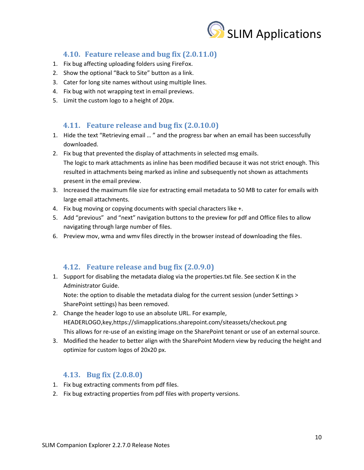

# **4.10. Feature release and bug fix (2.0.11.0)**

- <span id="page-9-0"></span>1. Fix bug affecting uploading folders using FireFox.
- 2. Show the optional "Back to Site" button as a link.
- 3. Cater for long site names without using multiple lines.
- 4. Fix bug with not wrapping text in email previews.
- 5. Limit the custom logo to a height of 20px.

### <span id="page-9-1"></span>**4.11. Feature release and bug fix (2.0.10.0)**

- 1. Hide the text "Retrieving email … " and the progress bar when an email has been successfully downloaded.
- 2. Fix bug that prevented the display of attachments in selected msg emails. The logic to mark attachments as inline has been modified because it was not strict enough. This resulted in attachments being marked as inline and subsequently not shown as attachments present in the email preview.
- 3. Increased the maximum file size for extracting email metadata to 50 MB to cater for emails with large email attachments.
- 4. Fix bug moving or copying documents with special characters like +.
- 5. Add "previous" and "next" navigation buttons to the preview for pdf and Office files to allow navigating through large number of files.
- 6. Preview mov, wma and wmv files directly in the browser instead of downloading the files.

### <span id="page-9-2"></span>**4.12. Feature release and bug fix (2.0.9.0)**

1. Support for disabling the metadata dialog via the properties.txt file. See section K in the Administrator Guide.

Note: the option to disable the metadata dialog for the current session (under Settings > SharePoint settings) has been removed.

- 2. Change the header logo to use an absolute URL. For example, HEADERLOGO,key,https://slimapplications.sharepoint.com/siteassets/checkout.png This allows for re-use of an existing image on the SharePoint tenant or use of an external source.
- 3. Modified the header to better align with the SharePoint Modern view by reducing the height and optimize for custom logos of 20x20 px.

# <span id="page-9-3"></span>**4.13. Bug fix (2.0.8.0)**

- 1. Fix bug extracting comments from pdf files.
- 2. Fix bug extracting properties from pdf files with property versions.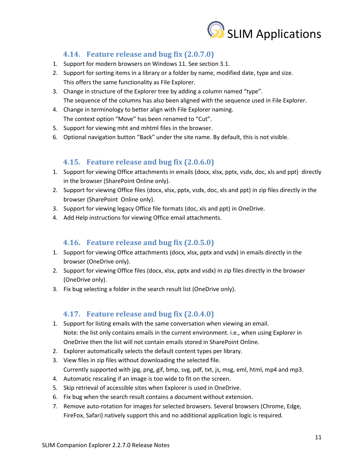

# <span id="page-10-0"></span>**4.14. Feature release and bug fix (2.0.7.0)**

- 1. Support for modern browsers on Windows 11. See section 3.1.
- 2. Support for sorting items in a library or a folder by name, modified date, type and size. This offers the same functionality as File Explorer.
- 3. Change in structure of the Explorer tree by adding a column named "type". The sequence of the columns has also been aligned with the sequence used in File Explorer.
- 4. Change in terminology to better align with File Explorer naming. The context option "Move" has been renamed to "Cut".
- 5. Support for viewing mht and mhtml files in the browser.
- 6. Optional navigation button "Back" under the site name. By default, this is not visible.

# <span id="page-10-1"></span>**4.15. Feature release and bug fix (2.0.6.0)**

- 1. Support for viewing Office attachments in emails (docx, xlsx, pptx, vsdx, doc, xls and ppt) directly in the browser (SharePoint Online only).
- 2. Support for viewing Office files (docx, xlsx, pptx, vsdx, doc, xls and ppt) in zip files directly in the browser (SharePoint Online only).
- 3. Support for viewing legacy Office file formats (doc, xls and ppt) in OneDrive.
- 4. Add Help instructions for viewing Office email attachments.

### <span id="page-10-2"></span>**4.16. Feature release and bug fix (2.0.5.0)**

- 1. Support for viewing Office attachments (docx, xlsx, pptx and vsdx) in emails directly in the browser (OneDrive only).
- 2. Support for viewing Office files (docx, xlsx, pptx and vsdx) in zip files directly in the browser (OneDrive only).
- 3. Fix bug selecting a folder in the search result list (OneDrive only).

# <span id="page-10-3"></span>**4.17. Feature release and bug fix (2.0.4.0)**

- 1. Support for listing emails with the same conversation when viewing an email. Note: the list only contains emails in the current environment. i.e., when using Explorer in OneDrive then the list will not contain emails stored in SharePoint Online.
- 2. Explorer automatically selects the default content types per library.
- 3. View files in zip files without downloading the selected file. Currently supported with jpg, png, gif, bmp, svg, pdf, txt, js, msg, eml, html, mp4 and mp3.
- 4. Automatic rescaling if an image is too wide to fit on the screen.
- 5. Skip retrieval of accessible sites when Explorer is used in OneDrive.
- 6. Fix bug when the search result contains a document without extension.
- 7. Remove auto-rotation for images for selected browsers. Several browsers (Chrome, Edge, FireFox, Safari) natively support this and no additional application logic is required.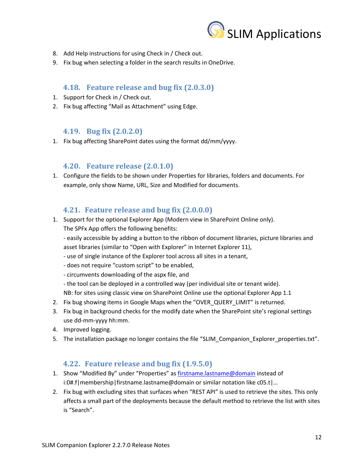

- 8. Add Help instructions for using Check in / Check out.
- 9. Fix bug when selecting a folder in the search results in OneDrive.

### <span id="page-11-0"></span>**4.18. Feature release and bug fix (2.0.3.0)**

- 1. Support for Check in / Check out.
- 2. Fix bug affecting "Mail as Attachment" using Edge.

### <span id="page-11-1"></span>**4.19. Bug fix (2.0.2.0)**

1. Fix bug affecting SharePoint dates using the format dd/mm/yyyy.

### <span id="page-11-2"></span>**4.20. Feature release (2.0.1.0)**

1. Configure the fields to be shown under Properties for libraries, folders and documents. For example, only show Name, URL, Size and Modified for documents.

### **4.21. Feature release and bug fix (2.0.0.0)**

<span id="page-11-3"></span>1. Support for the optional Explorer App (Modern view in SharePoint Online only). The SPFx App offers the following benefits:

- easily accessible by adding a button to the ribbon of document libraries, picture libraries and asset libraries (similar to "Open with Explorer" in Internet Explorer 11),

- use of single instance of the Explorer tool across all sites in a tenant,
- does not require "custom script" to be enabled,
- circumvents downloading of the aspx file, and
- the tool can be deployed in a controlled way (per individual site or tenant wide).
- NB: for sites using classic view on SharePoint Online use the optional Explorer App 1.1
- 2. Fix bug showing items in Google Maps when the "OVER\_QUERY\_LIMIT" is returned.
- 3. Fix bug in background checks for the modify date when the SharePoint site's regional settings use dd-mm-yyyy hh:mm.
- 4. Improved logging.
- 5. The installation package no longer contains the file "SLIM\_Companion\_Explorer\_properties.txt".

### **4.22. Feature release and bug fix (1.9.5.0)**

- <span id="page-11-4"></span>1. Show "Modified By" under "Properties" as [firstname.lastname@domain](mailto:firstname.lastname@domain) instead of i:0#.f|membership|firstname.lastname@domain or similar notation like c05.t|…
- 2. Fix bug with excluding sites that surfaces when "REST API" is used to retrieve the sites. This only affects a small part of the deployments because the default method to retrieve the list with sites is "Search".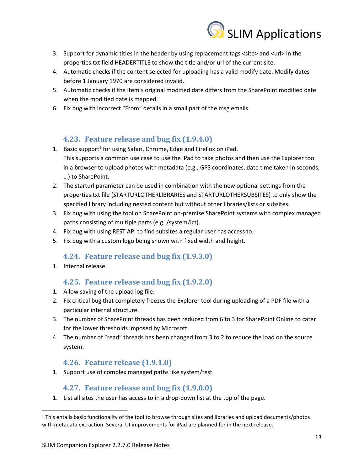

- 3. Support for dynamic titles in the header by using replacement tags <site> and <url> in the properties.txt field HEADERTITLE to show the title and/or url of the current site.
- 4. Automatic checks if the content selected for uploading has a valid modify date. Modify dates before 1 January 1970 are considered invalid.
- 5. Automatic checks if the item's original modified date differs from the SharePoint modified date when the modified date is mapped.
- 6. Fix bug with incorrect "From" details in a small part of the msg emails.

# **4.23. Feature release and bug fix (1.9.4.0)**

- <span id="page-12-0"></span>1. Basic support<sup>1</sup> for using Safari, Chrome, Edge and FireFox on iPad. This supports a common use case to use the iPad to take photos and then use the Explorer tool in a browser to upload photos with metadata (e.g., GPS coordinates, date time taken in seconds, …) to SharePoint.
- 2. The starturl parameter can be used in combination with the new optional settings from the properties.txt file (STARTURLOTHERLIBRARIES and STARTURLOTHERSUBSITES) to only show the specified library including nested content but without other libraries/lists or subsites.
- 3. Fix bug with using the tool on SharePoint on-premise SharePoint systems with complex managed paths consisting of multiple parts (e.g. /system/ict).
- 4. Fix bug with using REST API to find subsites a regular user has access to.
- 5. Fix bug with a custom logo being shown with fixed width and height.

# **4.24. Feature release and bug fix (1.9.3.0)**

<span id="page-12-1"></span>1. Internal release

# **4.25. Feature release and bug fix (1.9.2.0)**

- <span id="page-12-2"></span>1. Allow saving of the upload log file.
- 2. Fix critical bug that completely freezes the Explorer tool during uploading of a PDF file with a particular internal structure.
- 3. The number of SharePoint threads has been reduced from 6 to 3 for SharePoint Online to cater for the lower thresholds imposed by Microsoft.
- 4. The number of "read" threads has been changed from 3 to 2 to reduce the load on the source system.

# **4.26. Feature release (1.9.1.0)**

<span id="page-12-3"></span>1. Support use of complex managed paths like system/test

# **4.27. Feature release and bug fix (1.9.0.0)**

<span id="page-12-4"></span>1. List all sites the user has access to in a drop-down list at the top of the page.

 $1$  This entails basic functionality of the tool to browse through sites and libraries and upload documents/photos with metadata extraction. Several UI improvements for iPad are planned for in the next release.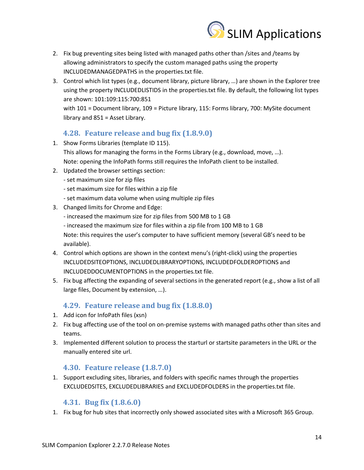

- 2. Fix bug preventing sites being listed with managed paths other than /sites and /teams by allowing administrators to specify the custom managed paths using the property INCLUDEDMANAGEDPATHS in the properties.txt file.
- 3. Control which list types (e.g., document library, picture library, …) are shown in the Explorer tree using the property INCLUDEDLISTIDS in the properties.txt file. By default, the following list types are shown: 101:109:115:700:851 with 101 = Document library, 109 = Picture library, 115: Forms library, 700: MySite document

library and 851 = Asset Library.

# **4.28. Feature release and bug fix (1.8.9.0)**

- <span id="page-13-0"></span>1. Show Forms Libraries (template ID 115). This allows for managing the forms in the Forms Library (e.g., download, move, …). Note: opening the InfoPath forms still requires the InfoPath client to be installed.
- 2. Updated the browser settings section:
	- set maximum size for zip files
	- set maximum size for files within a zip file
	- set maximum data volume when using multiple zip files
- 3. Changed limits for Chrome and Edge:
	- increased the maximum size for zip files from 500 MB to 1 GB
	- increased the maximum size for files within a zip file from 100 MB to 1 GB

Note: this requires the user's computer to have sufficient memory (several GB's need to be available).

- 4. Control which options are shown in the context menu's (right-click) using the properties INCLUDEDSITEOPTIONS, INCLUDEDLIBRARYOPTIONS, INCLUDEDFOLDEROPTIONS and INCLUDEDDOCUMENTOPTIONS in the properties.txt file.
- 5. Fix bug affecting the expanding of several sections in the generated report (e.g., show a list of all large files, Document by extension, …).

# **4.29. Feature release and bug fix (1.8.8.0)**

- <span id="page-13-1"></span>1. Add icon for InfoPath files (xsn)
- 2. Fix bug affecting use of the tool on on-premise systems with managed paths other than sites and teams.
- 3. Implemented different solution to process the starturl or startsite parameters in the URL or the manually entered site url.

### **4.30. Feature release (1.8.7.0)**

<span id="page-13-2"></span>1. Support excluding sites, libraries, and folders with specific names through the properties EXCLUDEDSITES, EXCLUDEDLIBRARIES and EXCLUDEDFOLDERS in the properties.txt file.

### **4.31. Bug fix (1.8.6.0)**

<span id="page-13-3"></span>1. Fix bug for hub sites that incorrectly only showed associated sites with a Microsoft 365 Group.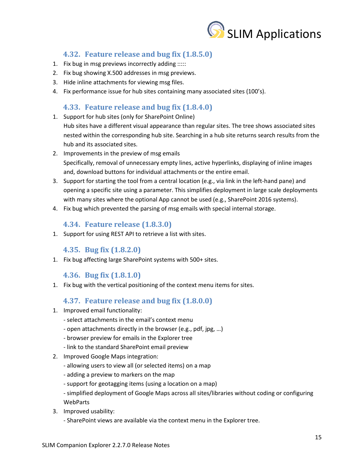

# **4.32. Feature release and bug fix (1.8.5.0)**

- <span id="page-14-0"></span>1. Fix bug in msg previews incorrectly adding :::::
- 2. Fix bug showing X.500 addresses in msg previews.
- 3. Hide inline attachments for viewing msg files.
- 4. Fix performance issue for hub sites containing many associated sites (100's).

#### **4.33. Feature release and bug fix (1.8.4.0)**

<span id="page-14-1"></span>1. Support for hub sites (only for SharePoint Online)

Hub sites have a different visual appearance than regular sites. The tree shows associated sites nested within the corresponding hub site. Searching in a hub site returns search results from the hub and its associated sites.

- 2. Improvements in the preview of msg emails Specifically, removal of unnecessary empty lines, active hyperlinks, displaying of inline images and, download buttons for individual attachments or the entire email.
- 3. Support for starting the tool from a central location (e.g., via link in the left-hand pane) and opening a specific site using a parameter. This simplifies deployment in large scale deployments with many sites where the optional App cannot be used (e.g., SharePoint 2016 systems).
- 4. Fix bug which prevented the parsing of msg emails with special internal storage.

### **4.34. Feature release (1.8.3.0)**

<span id="page-14-2"></span>1. Support for using REST API to retrieve a list with sites.

#### **4.35. Bug fix (1.8.2.0)**

<span id="page-14-3"></span>1. Fix bug affecting large SharePoint systems with 500+ sites.

#### **4.36. Bug fix (1.8.1.0)**

<span id="page-14-4"></span>1. Fix bug with the vertical positioning of the context menu items for sites.

#### **4.37. Feature release and bug fix (1.8.0.0)**

- <span id="page-14-5"></span>1. Improved email functionality:
	- select attachments in the email's context menu
	- open attachments directly in the browser (e.g., pdf, jpg, …)
	- browser preview for emails in the Explorer tree
	- link to the standard SharePoint email preview
- 2. Improved Google Maps integration:
	- allowing users to view all (or selected items) on a map
	- adding a preview to markers on the map
	- support for geotagging items (using a location on a map)
	- simplified deployment of Google Maps across all sites/libraries without coding or configuring WebParts
- 3. Improved usability:
	- SharePoint views are available via the context menu in the Explorer tree.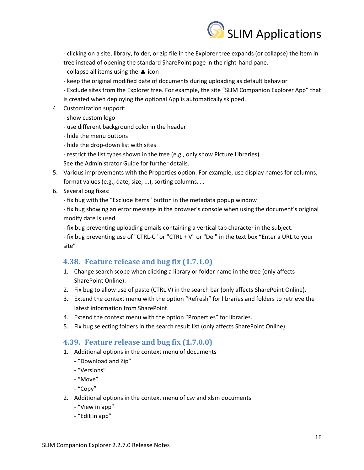

- clicking on a site, library, folder, or zip file in the Explorer tree expands (or collapse) the item in tree instead of opening the standard SharePoint page in the right-hand pane.

- collapse all items using the  $\triangle$  icon

- keep the original modified date of documents during uploading as default behavior
- Exclude sites from the Explorer tree. For example, the site "SLIM Companion Explorer App" that is created when deploying the optional App is automatically skipped.
- 4. Customization support:
	- show custom logo
	- use different background color in the header
	- hide the menu buttons
	- hide the drop-down list with sites
	- restrict the list types shown in the tree (e.g., only show Picture Libraries)

See the Administrator Guide for further details.

- 5. Various improvements with the Properties option. For example, use display names for columns, format values (e.g., date, size, ...), sorting columns, …
- 6. Several bug fixes:

- fix bug with the "Exclude Items" button in the metadata popup window

- fix bug showing an error message in the browser's console when using the document's original modify date is used

- fix bug preventing uploading emails containing a vertical tab character in the subject.

- fix bug preventing use of "CTRL-C" or "CTRL + V" or "Del" in the text box "Enter a URL to your site"

### <span id="page-15-0"></span>**4.38. Feature release and bug fix (1.7.1.0)**

- 1. Change search scope when clicking a library or folder name in the tree (only affects SharePoint Online).
- 2. Fix bug to allow use of paste (CTRL V) in the search bar (only affects SharePoint Online).
- 3. Extend the context menu with the option "Refresh" for libraries and folders to retrieve the latest information from SharePoint.
- 4. Extend the context menu with the option "Properties" for libraries.
- 5. Fix bug selecting folders in the search result list (only affects SharePoint Online).

### <span id="page-15-1"></span>**4.39. Feature release and bug fix (1.7.0.0)**

- 1. Additional options in the context menu of documents
	- "Download and Zip"
	- "Versions"
	- "Move"
	- "Copy"
- 2. Additional options in the context menu of csv and xlsm documents
	- "View in app"
	- "Edit in app"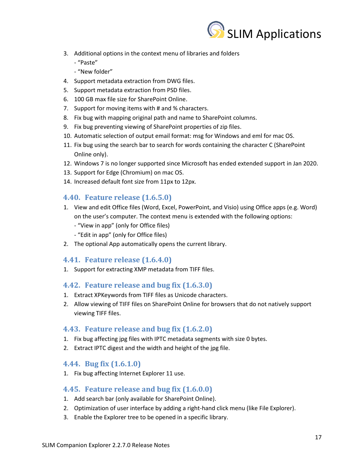

- 3. Additional options in the context menu of libraries and folders
	- "Paste"
	- "New folder"
- 4. Support metadata extraction from DWG files.
- 5. Support metadata extraction from PSD files.
- 6. 100 GB max file size for SharePoint Online.
- 7. Support for moving items with # and % characters.
- 8. Fix bug with mapping original path and name to SharePoint columns.
- 9. Fix bug preventing viewing of SharePoint properties of zip files.
- 10. Automatic selection of output email format: msg for Windows and eml for mac OS.
- 11. Fix bug using the search bar to search for words containing the character C (SharePoint Online only).
- 12. Windows 7 is no longer supported since Microsoft has ended extended support in Jan 2020.
- 13. Support for Edge (Chromium) on mac OS.
- 14. Increased default font size from 11px to 12px.

#### <span id="page-16-0"></span>**4.40. Feature release (1.6.5.0)**

- 1. View and edit Office files (Word, Excel, PowerPoint, and Visio) using Office apps (e.g. Word) on the user's computer. The context menu is extended with the following options:
	- "View in app" (only for Office files)
	- "Edit in app" (only for Office files)
- 2. The optional App automatically opens the current library.

### <span id="page-16-1"></span>**4.41. Feature release (1.6.4.0)**

1. Support for extracting XMP metadata from TIFF files.

#### <span id="page-16-2"></span>**4.42. Feature release and bug fix (1.6.3.0)**

- 1. Extract XPKeywords from TIFF files as Unicode characters.
- 2. Allow viewing of TIFF files on SharePoint Online for browsers that do not natively support viewing TIFF files.

#### <span id="page-16-3"></span>**4.43. Feature release and bug fix (1.6.2.0)**

- 1. Fix bug affecting jpg files with IPTC metadata segments with size 0 bytes.
- 2. Extract IPTC digest and the width and height of the jpg file.

#### <span id="page-16-4"></span>**4.44. Bug fix (1.6.1.0)**

1. Fix bug affecting Internet Explorer 11 use.

### <span id="page-16-5"></span>**4.45. Feature release and bug fix (1.6.0.0)**

- 1. Add search bar (only available for SharePoint Online).
- 2. Optimization of user interface by adding a right-hand click menu (like File Explorer).
- 3. Enable the Explorer tree to be opened in a specific library.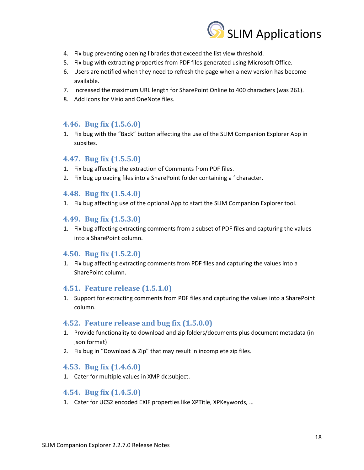

- 4. Fix bug preventing opening libraries that exceed the list view threshold.
- 5. Fix bug with extracting properties from PDF files generated using Microsoft Office.
- 6. Users are notified when they need to refresh the page when a new version has become available.
- 7. Increased the maximum URL length for SharePoint Online to 400 characters (was 261).
- 8. Add icons for Visio and OneNote files.

#### <span id="page-17-0"></span>**4.46. Bug fix (1.5.6.0)**

1. Fix bug with the "Back" button affecting the use of the SLIM Companion Explorer App in subsites.

#### <span id="page-17-1"></span>**4.47. Bug fix (1.5.5.0)**

- 1. Fix bug affecting the extraction of Comments from PDF files.
- 2. Fix bug uploading files into a SharePoint folder containing a ' character.

#### <span id="page-17-2"></span>**4.48. Bug fix (1.5.4.0)**

1. Fix bug affecting use of the optional App to start the SLIM Companion Explorer tool.

#### <span id="page-17-3"></span>**4.49. Bug fix (1.5.3.0)**

1. Fix bug affecting extracting comments from a subset of PDF files and capturing the values into a SharePoint column.

#### <span id="page-17-4"></span>**4.50. Bug fix (1.5.2.0)**

1. Fix bug affecting extracting comments from PDF files and capturing the values into a SharePoint column.

#### <span id="page-17-5"></span>**4.51. Feature release (1.5.1.0)**

1. Support for extracting comments from PDF files and capturing the values into a SharePoint column.

#### <span id="page-17-6"></span>**4.52. Feature release and bug fix (1.5.0.0)**

- 1. Provide functionality to download and zip folders/documents plus document metadata (in json format)
- 2. Fix bug in "Download & Zip" that may result in incomplete zip files.

#### <span id="page-17-7"></span>**4.53. Bug fix (1.4.6.0)**

1. Cater for multiple values in XMP dc:subject.

#### <span id="page-17-8"></span>**4.54. Bug fix (1.4.5.0)**

1. Cater for UCS2 encoded EXIF properties like XPTitle, XPKeywords, …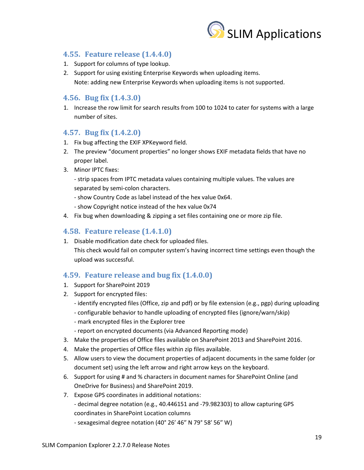

## <span id="page-18-0"></span>**4.55. Feature release (1.4.4.0)**

- 1. Support for columns of type lookup.
- 2. Support for using existing Enterprise Keywords when uploading items. Note: adding new Enterprise Keywords when uploading items is not supported.

## <span id="page-18-1"></span>**4.56. Bug fix (1.4.3.0)**

1. Increase the row limit for search results from 100 to 1024 to cater for systems with a large number of sites.

### <span id="page-18-2"></span>**4.57. Bug fix (1.4.2.0)**

- 1. Fix bug affecting the EXIF XPKeyword field.
- 2. The preview "document properties" no longer shows EXIF metadata fields that have no proper label.
- 3. Minor IPTC fixes:
	- strip spaces from IPTC metadata values containing multiple values. The values are separated by semi-colon characters.
	- show Country Code as label instead of the hex value 0x64.
	- show Copyright notice instead of the hex value 0x74
- 4. Fix bug when downloading & zipping a set files containing one or more zip file.

## <span id="page-18-3"></span>**4.58. Feature release (1.4.1.0)**

1. Disable modification date check for uploaded files. This check would fail on computer system's having incorrect time settings even though the upload was successful.

### <span id="page-18-4"></span>**4.59. Feature release and bug fix (1.4.0.0)**

- 1. Support for SharePoint 2019
- 2. Support for encrypted files:
	- identify encrypted files (Office, zip and pdf) or by file extension (e.g., pgp) during uploading
	- configurable behavior to handle uploading of encrypted files (ignore/warn/skip)
	- mark encrypted files in the Explorer tree
	- report on encrypted documents (via Advanced Reporting mode)
- 3. Make the properties of Office files available on SharePoint 2013 and SharePoint 2016.
- 4. Make the properties of Office files within zip files available.
- 5. Allow users to view the document properties of adjacent documents in the same folder (or document set) using the left arrow and right arrow keys on the keyboard.
- 6. Support for using # and % characters in document names for SharePoint Online (and OneDrive for Business) and SharePoint 2019.
- 7. Expose GPS coordinates in additional notations:
	- decimal degree notation (e.g., 40.446151 and -79.982303) to allow capturing GPS coordinates in SharePoint Location columns
	- sexagesimal degree notation (40° 26′ 46″ N 79° 58′ 56″ W)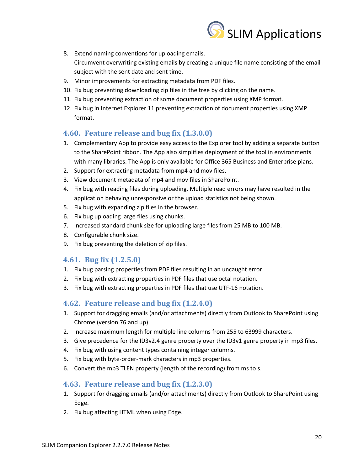

- 8. Extend naming conventions for uploading emails. Circumvent overwriting existing emails by creating a unique file name consisting of the email subject with the sent date and sent time.
- 9. Minor improvements for extracting metadata from PDF files.
- 10. Fix bug preventing downloading zip files in the tree by clicking on the name.
- 11. Fix bug preventing extraction of some document properties using XMP format.
- 12. Fix bug in Internet Explorer 11 preventing extraction of document properties using XMP format.

#### <span id="page-19-0"></span>**4.60. Feature release and bug fix (1.3.0.0)**

- 1. Complementary App to provide easy access to the Explorer tool by adding a separate button to the SharePoint ribbon. The App also simplifies deployment of the tool in environments with many libraries. The App is only available for Office 365 Business and Enterprise plans.
- 2. Support for extracting metadata from mp4 and mov files.
- 3. View document metadata of mp4 and mov files in SharePoint.
- 4. Fix bug with reading files during uploading. Multiple read errors may have resulted in the application behaving unresponsive or the upload statistics not being shown.
- 5. Fix bug with expanding zip files in the browser.
- 6. Fix bug uploading large files using chunks.
- 7. Increased standard chunk size for uploading large files from 25 MB to 100 MB.
- 8. Configurable chunk size.
- 9. Fix bug preventing the deletion of zip files.

#### <span id="page-19-1"></span>**4.61. Bug fix (1.2.5.0)**

- 1. Fix bug parsing properties from PDF files resulting in an uncaught error.
- 2. Fix bug with extracting properties in PDF files that use octal notation.
- 3. Fix bug with extracting properties in PDF files that use UTF-16 notation.

### <span id="page-19-2"></span>**4.62. Feature release and bug fix (1.2.4.0)**

- 1. Support for dragging emails (and/or attachments) directly from Outlook to SharePoint using Chrome (version 76 and up).
- 2. Increase maximum length for multiple line columns from 255 to 63999 characters.
- 3. Give precedence for the ID3v2.4 genre property over the ID3v1 genre property in mp3 files.
- 4. Fix bug with using content types containing integer columns.
- 5. Fix bug with byte-order-mark characters in mp3 properties.
- 6. Convert the mp3 TLEN property (length of the recording) from ms to s.

### <span id="page-19-3"></span>**4.63. Feature release and bug fix (1.2.3.0)**

- 1. Support for dragging emails (and/or attachments) directly from Outlook to SharePoint using Edge.
- 2. Fix bug affecting HTML when using Edge.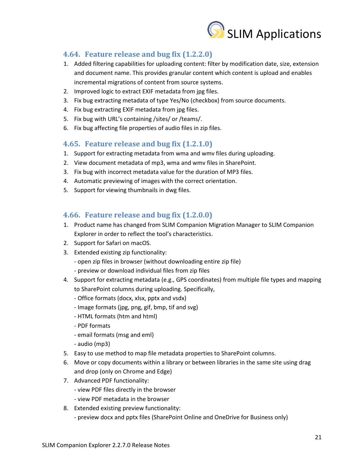

# <span id="page-20-0"></span>**4.64. Feature release and bug fix (1.2.2.0)**

- 1. Added filtering capabilities for uploading content: filter by modification date, size, extension and document name. This provides granular content which content is upload and enables incremental migrations of content from source systems.
- 2. Improved logic to extract EXIF metadata from jpg files.
- 3. Fix bug extracting metadata of type Yes/No (checkbox) from source documents.
- 4. Fix bug extracting EXIF metadata from jpg files.
- 5. Fix bug with URL's containing /sites/ or /teams/.
- 6. Fix bug affecting file properties of audio files in zip files.

# <span id="page-20-1"></span>**4.65. Feature release and bug fix (1.2.1.0)**

- 1. Support for extracting metadata from wma and wmv files during uploading.
- 2. View document metadata of mp3, wma and wmv files in SharePoint.
- 3. Fix bug with incorrect metadata value for the duration of MP3 files.
- 4. Automatic previewing of images with the correct orientation.
- 5. Support for viewing thumbnails in dwg files.

# <span id="page-20-2"></span>**4.66. Feature release and bug fix (1.2.0.0)**

- 1. Product name has changed from SLIM Companion Migration Manager to SLIM Companion Explorer in order to reflect the tool's characteristics.
- 2. Support for Safari on macOS.
- 3. Extended existing zip functionality:
	- open zip files in browser (without downloading entire zip file)
	- preview or download individual files from zip files
- 4. Support for extracting metadata (e.g., GPS coordinates) from multiple file types and mapping to SharePoint columns during uploading. Specifically,
	- Office formats (docx, xlsx, pptx and vsdx)
	- Image formats (jpg, png, gif, bmp, tif and svg)
	- HTML formats (htm and html)
	- PDF formats
	- email formats (msg and eml)
	- audio (mp3)
- 5. Easy to use method to map file metadata properties to SharePoint columns.
- 6. Move or copy documents within a library or between libraries in the same site using drag and drop (only on Chrome and Edge)
- 7. Advanced PDF functionality:
	- view PDF files directly in the browser
	- view PDF metadata in the browser
- 8. Extended existing preview functionality:
	- preview docx and pptx files (SharePoint Online and OneDrive for Business only)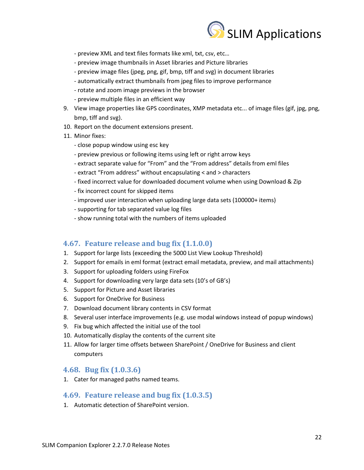

- preview XML and text files formats like xml, txt, csv, etc…
- preview image thumbnails in Asset libraries and Picture libraries
- preview image files (jpeg, png, gif, bmp, tiff and svg) in document libraries
- automatically extract thumbnails from jpeg files to improve performance
- rotate and zoom image previews in the browser
- preview multiple files in an efficient way
- 9. View image properties like GPS coordinates, XMP metadata etc... of image files (gif, jpg, png, bmp, tiff and svg).
- 10. Report on the document extensions present.
- 11. Minor fixes:
	- close popup window using esc key
	- preview previous or following items using left or right arrow keys
	- extract separate value for "From" and the "From address" details from eml files
	- extract "From address" without encapsulating < and > characters
	- fixed incorrect value for downloaded document volume when using Download & Zip
	- fix incorrect count for skipped items
	- improved user interaction when uploading large data sets (100000+ items)
	- supporting for tab separated value log files
	- show running total with the numbers of items uploaded

#### <span id="page-21-0"></span>**4.67. Feature release and bug fix (1.1.0.0)**

- 1. Support for large lists (exceeding the 5000 List View Lookup Threshold)
- 2. Support for emails in eml format (extract email metadata, preview, and mail attachments)
- 3. Support for uploading folders using FireFox
- 4. Support for downloading very large data sets (10's of GB's)
- 5. Support for Picture and Asset libraries
- 6. Support for OneDrive for Business
- 7. Download document library contents in CSV format
- 8. Several user interface improvements (e.g. use modal windows instead of popup windows)
- 9. Fix bug which affected the initial use of the tool
- 10. Automatically display the contents of the current site
- 11. Allow for larger time offsets between SharePoint / OneDrive for Business and client computers

### <span id="page-21-1"></span>**4.68. Bug fix (1.0.3.6)**

1. Cater for managed paths named teams.

#### <span id="page-21-2"></span>**4.69. Feature release and bug fix (1.0.3.5)**

1. Automatic detection of SharePoint version.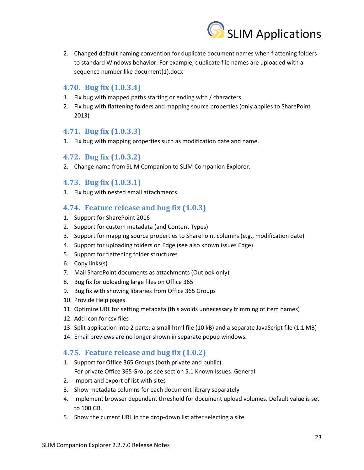

2. Changed default naming convention for duplicate document names when flattening folders to standard Windows behavior. For example, duplicate file names are uploaded with a sequence number like document(1).docx

### <span id="page-22-0"></span>**4.70. Bug fix (1.0.3.4)**

- 1. Fix bug with mapped paths starting or ending with / characters.
- 2. Fix bug with flattening folders and mapping source properties (only applies to SharePoint 2013)

#### <span id="page-22-1"></span>**4.71. Bug fix (1.0.3.3)**

1. Fix bug with mapping properties such as modification date and name.

#### <span id="page-22-2"></span>**4.72. Bug fix (1.0.3.2)**

2. Change name from SLIM Companion to SLIM Companion Explorer.

#### <span id="page-22-3"></span>**4.73. Bug fix (1.0.3.1)**

1. Fix bug with nested email attachments.

#### <span id="page-22-4"></span>**4.74. Feature release and bug fix (1.0.3)**

- 1. Support for SharePoint 2016
- 2. Support for custom metadata (and Content Types)
- 3. Support for mapping source properties to SharePoint columns (e.g., modification date)
- 4. Support for uploading folders on Edge (see also known issues Edge)
- 5. Support for flattening folder structures
- 6. Copy links(s)
- 7. Mail SharePoint documents as attachments (Outlook only)
- 8. Bug fix for uploading large files on Office 365
- 9. Bug fix with showing libraries from Office 365 Groups
- 10. Provide Help pages
- 11. Optimize URL for setting metadata (this avoids unnecessary trimming of item names)
- 12. Add icon for csv files
- 13. Split application into 2 parts: a small html file (10 kB) and a separate JavaScript file (1.1 MB)
- 14. Email previews are no longer shown in separate popup windows.

### <span id="page-22-5"></span>**4.75. Feature release and bug fix (1.0.2)**

- 1. Support for Office 365 Groups (both private and public). For private Office 365 Groups see section 5.1 Known Issues: General
- 2. Import and export of list with sites
- 3. Show metadata columns for each document library separately
- 4. Implement browser dependent threshold for document upload volumes. Default value is set to 100 GB.
- 5. Show the current URL in the drop-down list after selecting a site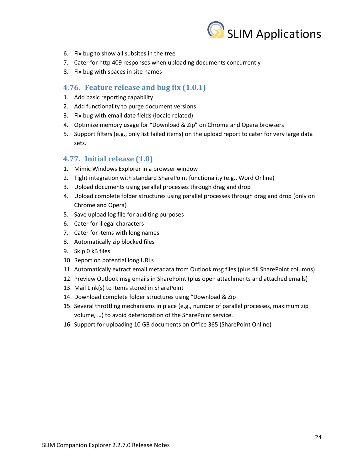

- 6. Fix bug to show all subsites in the tree
- 7. Cater for http 409 responses when uploading documents concurrently
- 8. Fix bug with spaces in site names

### <span id="page-23-0"></span>**4.76. Feature release and bug fix (1.0.1)**

- 1. Add basic reporting capability
- 2. Add functionality to purge document versions
- 3. Fix bug with email date fields (locale related)
- 4. Optimize memory usage for "Download & Zip" on Chrome and Opera browsers
- 5. Support filters (e.g., only list failed items) on the upload report to cater for very large data sets.

# <span id="page-23-1"></span>**4.77. Initial release (1.0)**

- 1. Mimic Windows Explorer in a browser window
- 2. Tight integration with standard SharePoint functionality (e.g., Word Online)
- 3. Upload documents using parallel processes through drag and drop
- 4. Upload complete folder structures using parallel processes through drag and drop (only on Chrome and Opera)
- 5. Save upload log file for auditing purposes
- 6. Cater for illegal characters
- 7. Cater for items with long names
- 8. Automatically zip blocked files
- 9. Skip 0 kB files
- 10. Report on potential long URLs
- 11. Automatically extract email metadata from Outlook msg files (plus fill SharePoint columns)
- 12. Preview Outlook msg emails in SharePoint (plus open attachments and attached emails)
- 13. Mail Link(s) to items stored in SharePoint
- 14. Download complete folder structures using "Download & Zip
- 15. Several throttling mechanisms in place (e.g., number of parallel processes, maximum zip volume, …) to avoid deterioration of the SharePoint service.
- 16. Support for uploading 10 GB documents on Office 365 (SharePoint Online)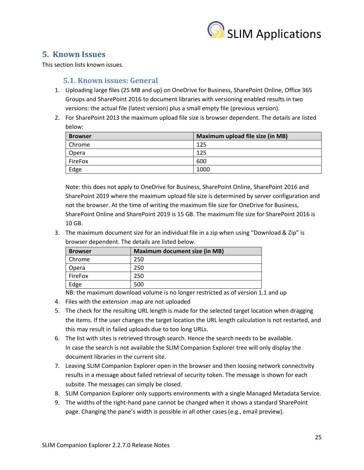

# <span id="page-24-0"></span>**5. Known Issues**

This section lists known issues.

# <span id="page-24-1"></span>**5.1. Known issues: General**

- 1. Uploading large files (25 MB and up) on OneDrive for Business, SharePoint Online, Office 365 Groups and SharePoint 2016 to document libraries with versioning enabled results in two versions: the actual file (latest version) plus a small empty file (previous version).
- 2. For SharePoint 2013 the maximum upload file size is browser dependent. The details are listed below:

| <b>Browser</b> | Maximum upload file size (in MB) |
|----------------|----------------------------------|
| Chrome         | 125                              |
| Opera          | 125                              |
| FireFox        | 600                              |
| Edge           | 1000                             |

Note: this does not apply to OneDrive for Business, SharePoint Online, SharePoint 2016 and SharePoint 2019 where the maximum upload file size is determined by server configuration and not the browser. At the time of writing the maximum file size for OneDrive for Business, SharePoint Online and SharePoint 2019 is 15 GB. The maximum file size for SharePoint 2016 is 10 GB.

3. The maximum document size for an individual file in a zip when using "Download & Zip" is browser dependent. The details are listed below.

| <b>Browser</b> | <b>Maximum document size (in MB)</b> |
|----------------|--------------------------------------|
| Chrome         | 250                                  |
| Opera          | 250                                  |
| FireFox        | 250                                  |
| Edge           | 500                                  |

NB: the maximum download volume is no longer restricted as of version 1.1 and up

- 4. Files with the extension .map are not uploaded
- 5. The check for the resulting URL length is made for the selected target location when dragging the items. If the user changes the target location the URL length calculation is not restarted, and this may result in failed uploads due to too long URLs.
- 6. The list with sites is retrieved through search. Hence the search needs to be available. In case the search is not available the SLIM Companion Explorer tree will only display the document libraries in the current site.
- 7. Leaving SLIM Companion Explorer open in the browser and then loosing network connectivity results in a message about failed retrieval of security token. The message is shown for each subsite. The messages can simply be closed.
- 8. SLIM Companion Explorer only supports environments with a single Managed Metadata Service.
- 9. The widths of the right-hand pane cannot be changed when it shows a standard SharePoint page. Changing the pane's width is possible in all other cases (e.g., email preview).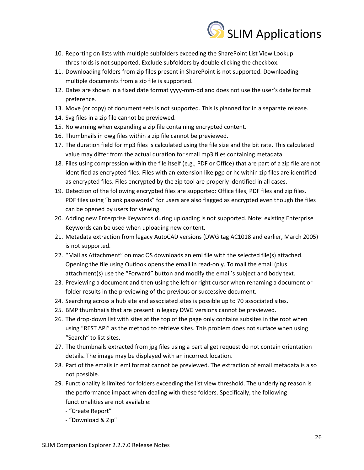

- 10. Reporting on lists with multiple subfolders exceeding the SharePoint List View Lookup thresholds is not supported. Exclude subfolders by double clicking the checkbox.
- 11. Downloading folders from zip files present in SharePoint is not supported. Downloading multiple documents from a zip file is supported.
- 12. Dates are shown in a fixed date format yyyy-mm-dd and does not use the user's date format preference.
- 13. Move (or copy) of document sets is not supported. This is planned for in a separate release.
- 14. Svg files in a zip file cannot be previewed.
- 15. No warning when expanding a zip file containing encrypted content.
- 16. Thumbnails in dwg files within a zip file cannot be previewed.
- 17. The duration field for mp3 files is calculated using the file size and the bit rate. This calculated value may differ from the actual duration for small mp3 files containing metadata.
- 18. Files using compression within the file itself (e.g., PDF or Office) that are part of a zip file are not identified as encrypted files. Files with an extension like pgp or hc within zip files are identified as encrypted files. Files encrypted by the zip tool are properly identified in all cases.
- 19. Detection of the following encrypted files are supported: Office files, PDF files and zip files. PDF files using "blank passwords" for users are also flagged as encrypted even though the files can be opened by users for viewing.
- 20. Adding new Enterprise Keywords during uploading is not supported. Note: existing Enterprise Keywords can be used when uploading new content.
- 21. Metadata extraction from legacy AutoCAD versions (DWG tag AC1018 and earlier, March 2005) is not supported.
- 22. "Mail as Attachment" on mac OS downloads an eml file with the selected file(s) attached. Opening the file using Outlook opens the email in read-only. To mail the email (plus attachment(s) use the "Forward" button and modify the email's subject and body text.
- 23. Previewing a document and then using the left or right cursor when renaming a document or folder results in the previewing of the previous or successive document.
- 24. Searching across a hub site and associated sites is possible up to 70 associated sites.
- 25. BMP thumbnails that are present in legacy DWG versions cannot be previewed.
- 26. The drop-down list with sites at the top of the page only contains subsites in the root when using "REST API" as the method to retrieve sites. This problem does not surface when using "Search" to list sites.
- 27. The thumbnails extracted from jpg files using a partial get request do not contain orientation details. The image may be displayed with an incorrect location.
- 28. Part of the emails in eml format cannot be previewed. The extraction of email metadata is also not possible.
- 29. Functionality is limited for folders exceeding the list view threshold. The underlying reason is the performance impact when dealing with these folders. Specifically, the following functionalities are not available:
	- "Create Report"
	- "Download & Zip"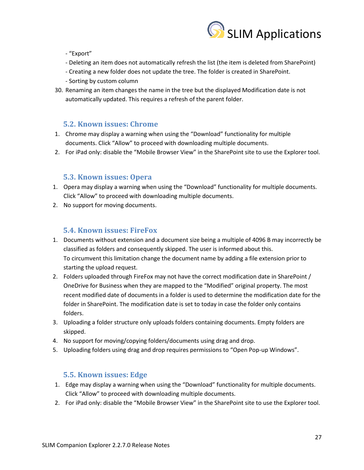

- "Export"

- Deleting an item does not automatically refresh the list (the item is deleted from SharePoint)
- Creating a new folder does not update the tree. The folder is created in SharePoint.
- Sorting by custom column
- 30. Renaming an item changes the name in the tree but the displayed Modification date is not automatically updated. This requires a refresh of the parent folder.

#### <span id="page-26-0"></span>**5.2. Known issues: Chrome**

- 1. Chrome may display a warning when using the "Download" functionality for multiple documents. Click "Allow" to proceed with downloading multiple documents.
- 2. For iPad only: disable the "Mobile Browser View" in the SharePoint site to use the Explorer tool.

#### <span id="page-26-1"></span>**5.3. Known issues: Opera**

- 1. Opera may display a warning when using the "Download" functionality for multiple documents. Click "Allow" to proceed with downloading multiple documents.
- 2. No support for moving documents.

### <span id="page-26-2"></span>**5.4. Known issues: FireFox**

- 1. Documents without extension and a document size being a multiple of 4096 B may incorrectly be classified as folders and consequently skipped. The user is informed about this. To circumvent this limitation change the document name by adding a file extension prior to starting the upload request.
- 2. Folders uploaded through FireFox may not have the correct modification date in SharePoint / OneDrive for Business when they are mapped to the "Modified" original property. The most recent modified date of documents in a folder is used to determine the modification date for the folder in SharePoint. The modification date is set to today in case the folder only contains folders.
- 3. Uploading a folder structure only uploads folders containing documents. Empty folders are skipped.
- 4. No support for moving/copying folders/documents using drag and drop.
- 5. Uploading folders using drag and drop requires permissions to "Open Pop-up Windows".

### <span id="page-26-3"></span>**5.5. Known issues: Edge**

- 1. Edge may display a warning when using the "Download" functionality for multiple documents. Click "Allow" to proceed with downloading multiple documents.
- 2. For iPad only: disable the "Mobile Browser View" in the SharePoint site to use the Explorer tool.